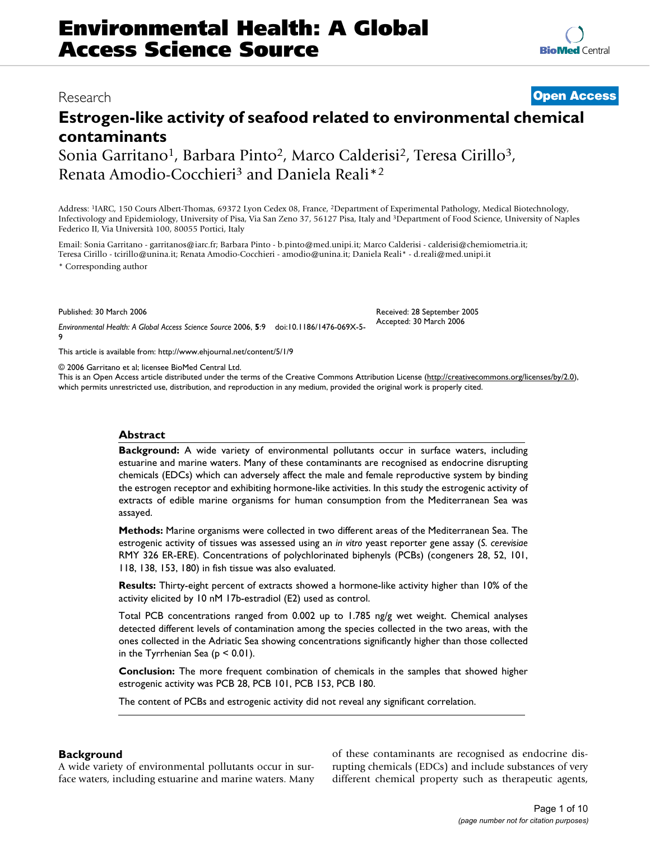## Research **[Open Access](http://www.biomedcentral.com/info/about/charter/)**

# **Estrogen-like activity of seafood related to environmental chemical contaminants**

Sonia Garritano<sup>1</sup>, Barbara Pinto<sup>2</sup>, Marco Calderisi<sup>2</sup>, Teresa Cirillo<sup>3</sup>, Renata Amodio-Cocchieri3 and Daniela Reali\*2

Address: 1IARC, 150 Cours Albert-Thomas, 69372 Lyon Cedex 08, France, 2Department of Experimental Pathology, Medical Biotechnology, Infectivology and Epidemiology, University of Pisa, Via San Zeno 37, 56127 Pisa, Italy and 3Department of Food Science, University of Naples Federico II, Via Università 100, 80055 Portici, Italy

Email: Sonia Garritano - garritanos@iarc.fr; Barbara Pinto - b.pinto@med.unipi.it; Marco Calderisi - calderisi@chemiometria.it; Teresa Cirillo - tcirillo@unina.it; Renata Amodio-Cocchieri - amodio@unina.it; Daniela Reali\* - d.reali@med.unipi.it

\* Corresponding author

Published: 30 March 2006

9

*Environmental Health: A Global Access Science Source* 2006, **5**:9 doi:10.1186/1476-069X-5- Accepted: 30 March 2006

[This article is available from: http://www.ehjournal.net/content/5/1/9](http://www.ehjournal.net/content/5/1/9)

© 2006 Garritano et al; licensee BioMed Central Ltd.

This is an Open Access article distributed under the terms of the Creative Commons Attribution License [\(http://creativecommons.org/licenses/by/2.0\)](http://creativecommons.org/licenses/by/2.0), which permits unrestricted use, distribution, and reproduction in any medium, provided the original work is properly cited.

Received: 28 September 2005

### **Abstract**

**Background:** A wide variety of environmental pollutants occur in surface waters, including estuarine and marine waters. Many of these contaminants are recognised as endocrine disrupting chemicals (EDCs) which can adversely affect the male and female reproductive system by binding the estrogen receptor and exhibiting hormone-like activities. In this study the estrogenic activity of extracts of edible marine organisms for human consumption from the Mediterranean Sea was assayed.

**Methods:** Marine organisms were collected in two different areas of the Mediterranean Sea. The estrogenic activity of tissues was assessed using an *in vitro* yeast reporter gene assay (*S. cerevisiae* RMY 326 ER-ERE). Concentrations of polychlorinated biphenyls (PCBs) (congeners 28, 52, 101, 118, 138, 153, 180) in fish tissue was also evaluated.

**Results:** Thirty-eight percent of extracts showed a hormone-like activity higher than 10% of the activity elicited by 10 nM 17b-estradiol (E2) used as control.

Total PCB concentrations ranged from 0.002 up to 1.785 ng/g wet weight. Chemical analyses detected different levels of contamination among the species collected in the two areas, with the ones collected in the Adriatic Sea showing concentrations significantly higher than those collected in the Tyrrhenian Sea ( $p < 0.01$ ).

**Conclusion:** The more frequent combination of chemicals in the samples that showed higher estrogenic activity was PCB 28, PCB 101, PCB 153, PCB 180.

The content of PCBs and estrogenic activity did not reveal any significant correlation.

## **Background**

A wide variety of environmental pollutants occur in surface waters, including estuarine and marine waters. Many of these contaminants are recognised as endocrine disrupting chemicals (EDCs) and include substances of very different chemical property such as therapeutic agents,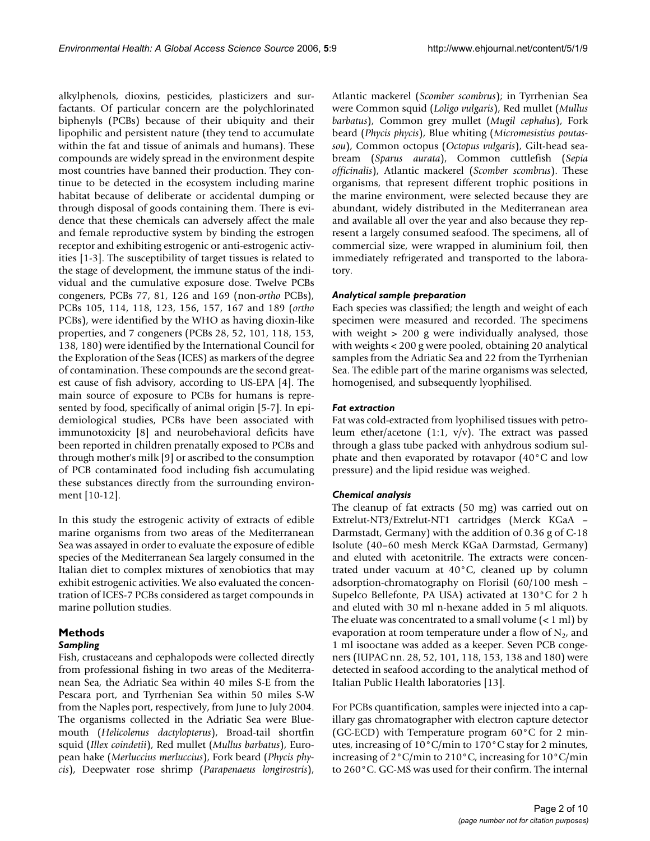alkylphenols, dioxins, pesticides, plasticizers and surfactants. Of particular concern are the polychlorinated biphenyls (PCBs) because of their ubiquity and their lipophilic and persistent nature (they tend to accumulate within the fat and tissue of animals and humans). These compounds are widely spread in the environment despite most countries have banned their production. They continue to be detected in the ecosystem including marine habitat because of deliberate or accidental dumping or through disposal of goods containing them. There is evidence that these chemicals can adversely affect the male and female reproductive system by binding the estrogen receptor and exhibiting estrogenic or anti-estrogenic activities [1-3]. The susceptibility of target tissues is related to the stage of development, the immune status of the individual and the cumulative exposure dose. Twelve PCBs congeners, PCBs 77, 81, 126 and 169 (non-*ortho* PCBs), PCBs 105, 114, 118, 123, 156, 157, 167 and 189 (*ortho* PCBs), were identified by the WHO as having dioxin-like properties, and 7 congeners (PCBs 28, 52, 101, 118, 153, 138, 180) were identified by the International Council for the Exploration of the Seas (ICES) as markers of the degree of contamination. These compounds are the second greatest cause of fish advisory, according to US-EPA [4]. The main source of exposure to PCBs for humans is represented by food, specifically of animal origin [5-7]. In epidemiological studies, PCBs have been associated with immunotoxicity [8] and neurobehavioral deficits have been reported in children prenatally exposed to PCBs and through mother's milk [9] or ascribed to the consumption of PCB contaminated food including fish accumulating these substances directly from the surrounding environment [10-12].

In this study the estrogenic activity of extracts of edible marine organisms from two areas of the Mediterranean Sea was assayed in order to evaluate the exposure of edible species of the Mediterranean Sea largely consumed in the Italian diet to complex mixtures of xenobiotics that may exhibit estrogenic activities. We also evaluated the concentration of ICES-7 PCBs considered as target compounds in marine pollution studies.

## **Methods**

## *Sampling*

Fish, crustaceans and cephalopods were collected directly from professional fishing in two areas of the Mediterranean Sea, the Adriatic Sea within 40 miles S-E from the Pescara port, and Tyrrhenian Sea within 50 miles S-W from the Naples port, respectively, from June to July 2004. The organisms collected in the Adriatic Sea were Bluemouth (*Helicolenus dactylopterus*), Broad-tail shortfin squid (*Illex coindetii*), Red mullet (*Mullus barbatus*), European hake (*Merluccius merluccius*), Fork beard (*Phycis phycis*), Deepwater rose shrimp (*Parapenaeus longirostris*),

Atlantic mackerel (*Scomber scombrus*); in Tyrrhenian Sea were Common squid (*Loligo vulgaris*), Red mullet (*Mullus barbatus*), Common grey mullet (*Mugil cephalus*), Fork beard (*Phycis phycis*), Blue whiting (*Micromesistius poutassou*), Common octopus (*Octopus vulgaris*), Gilt-head seabream (*Sparus aurata*), Common cuttlefish (*Sepia officinalis*), Atlantic mackerel (*Scomber scombrus*). These organisms, that represent different trophic positions in the marine environment, were selected because they are abundant, widely distributed in the Mediterranean area and available all over the year and also because they represent a largely consumed seafood. The specimens, all of commercial size, were wrapped in aluminium foil, then immediately refrigerated and transported to the laboratory.

## *Analytical sample preparation*

Each species was classified; the length and weight of each specimen were measured and recorded. The specimens with weight > 200 g were individually analysed, those with weights < 200 g were pooled, obtaining 20 analytical samples from the Adriatic Sea and 22 from the Tyrrhenian Sea. The edible part of the marine organisms was selected, homogenised, and subsequently lyophilised.

## *Fat extraction*

Fat was cold-extracted from lyophilised tissues with petroleum ether/acetone (1:1,  $v/v$ ). The extract was passed through a glass tube packed with anhydrous sodium sulphate and then evaporated by rotavapor (40°C and low pressure) and the lipid residue was weighed.

## *Chemical analysis*

The cleanup of fat extracts (50 mg) was carried out on Extrelut-NT3/Extrelut-NT1 cartridges (Merck KGaA – Darmstadt, Germany) with the addition of 0.36 g of C-18 Isolute (40–60 mesh Merck KGaA Darmstad, Germany) and eluted with acetonitrile. The extracts were concentrated under vacuum at 40°C, cleaned up by column adsorption-chromatography on Florisil (60/100 mesh – Supelco Bellefonte, PA USA) activated at 130°C for 2 h and eluted with 30 ml n-hexane added in 5 ml aliquots. The eluate was concentrated to a small volume  $(< 1$  ml) by evaporation at room temperature under a flow of  $N<sub>2</sub>$ , and 1 ml isooctane was added as a keeper. Seven PCB congeners (IUPAC nn. 28, 52, 101, 118, 153, 138 and 180) were detected in seafood according to the analytical method of Italian Public Health laboratories [13].

For PCBs quantification, samples were injected into a capillary gas chromatographer with electron capture detector (GC-ECD) with Temperature program 60°C for 2 minutes, increasing of 10°C/min to 170°C stay for 2 minutes, increasing of 2°C/min to 210°C, increasing for 10°C/min to 260°C. GC-MS was used for their confirm. The internal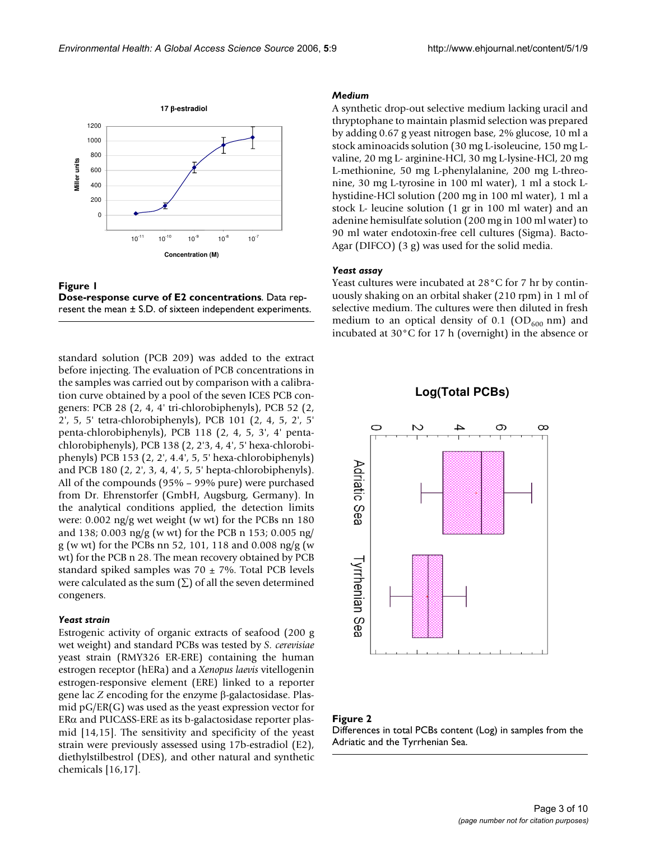



standard solution (PCB 209) was added to the extract before injecting. The evaluation of PCB concentrations in the samples was carried out by comparison with a calibration curve obtained by a pool of the seven ICES PCB congeners: PCB 28 (2, 4, 4' tri-chlorobiphenyls), PCB 52 (2, 2', 5, 5' tetra-chlorobiphenyls), PCB 101 (2, 4, 5, 2', 5' penta-chlorobiphenyls), PCB 118 (2, 4, 5, 3', 4' pentachlorobiphenyls), PCB 138 (2, 2'3, 4, 4', 5' hexa-chlorobiphenyls) PCB 153 (2, 2', 4.4', 5, 5' hexa-chlorobiphenyls) and PCB 180 (2, 2', 3, 4, 4', 5, 5' hepta-chlorobiphenyls). All of the compounds (95% – 99% pure) were purchased from Dr. Ehrenstorfer (GmbH, Augsburg, Germany). In the analytical conditions applied, the detection limits were: 0.002 ng/g wet weight (w wt) for the PCBs nn 180 and 138; 0.003 ng/g (w wt) for the PCB n 153; 0.005 ng/ g (w wt) for the PCBs nn 52, 101, 118 and 0.008 ng/g (w wt) for the PCB n 28. The mean recovery obtained by PCB standard spiked samples was  $70 \pm 7\%$ . Total PCB levels were calculated as the sum  $(\Sigma)$  of all the seven determined congeners.

#### *Yeast strain*

Estrogenic activity of organic extracts of seafood (200 g wet weight) and standard PCBs was tested by *S. cerevisiae* yeast strain (RMY326 ER-ERE) containing the human estrogen receptor (hERa) and a *Xenopus laevis* vitellogenin estrogen-responsive element (ERE) linked to a reporter gene lac *Z* encoding for the enzyme β-galactosidase. Plasmid pG/ER(G) was used as the yeast expression vector for ERα and PUC∆SS-ERE as its b-galactosidase reporter plasmid [14,15]. The sensitivity and specificity of the yeast strain were previously assessed using 17b-estradiol (E2), diethylstilbestrol (DES), and other natural and synthetic chemicals [16,17].

#### *Medium*

A synthetic drop-out selective medium lacking uracil and thryptophane to maintain plasmid selection was prepared by adding 0.67 g yeast nitrogen base, 2% glucose, 10 ml a stock aminoacids solution (30 mg L-isoleucine, 150 mg Lvaline, 20 mg L- arginine-HCl, 30 mg L-lysine-HCl, 20 mg L-methionine, 50 mg L-phenylalanine, 200 mg L-threonine, 30 mg L-tyrosine in 100 ml water), 1 ml a stock Lhystidine-HCl solution (200 mg in 100 ml water), 1 ml a stock L- leucine solution (1 gr in 100 ml water) and an adenine hemisulfate solution (200 mg in 100 ml water) to 90 ml water endotoxin-free cell cultures (Sigma). Bacto-Agar (DIFCO) (3 g) was used for the solid media.

#### *Yeast assay*

Yeast cultures were incubated at 28°C for 7 hr by continuously shaking on an orbital shaker (210 rpm) in 1 ml of selective medium. The cultures were then diluted in fresh medium to an optical density of 0.1 ( $OD<sub>600</sub>$  nm) and incubated at 30°C for 17 h (overnight) in the absence or



## **Log(Total PCBs)**

#### Figure 2

Differences in total PCBs content (Log) in samples from the Adriatic and the Tyrrhenian Sea.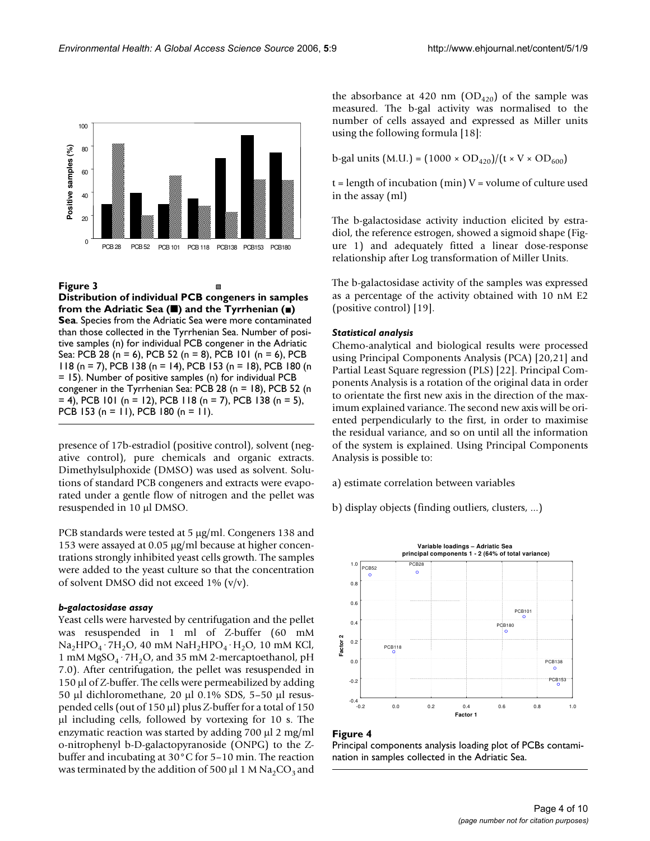

**Figure 3** Distribution of individual PCB congeners in and the Tyrrhenian (I) Sea (■) and the Tyrrhenian (I) Sea (■) and the Tyrrhenian (I) Sea (■) and the Tyrrhenian (I) Sea (■) and the Tyrrhenian (I) Sea (■) and the Tyr **Distribution of individual PCB congeners in samples from the Adriatic Sea (**■**) and the Tyrrhenian (**І**) Sea**. Species from the Adriatic Sea were more contaminated than those collected in the Tyrrhenian Sea. Number of positive samples (n) for individual PCB congener in the Adriatic Sea: PCB 28 (n = 6), PCB 52 (n = 8), PCB 101 (n = 6), PCB 118 (n = 7), PCB 138 (n = 14), PCB 153 (n = 18), PCB 180 (n = 15). Number of positive samples (n) for individual PCB congener in the Tyrrhenian Sea: PCB 28 (n = 18), PCB 52 (n  $= 4$ ), PCB 101 (n = 12), PCB 118 (n = 7), PCB 138 (n = 5), PCB 153 (n = 11), PCB 180 (n = 11).

presence of 17b-estradiol (positive control), solvent (negative control), pure chemicals and organic extracts. Dimethylsulphoxide (DMSO) was used as solvent. Solutions of standard PCB congeners and extracts were evaporated under a gentle flow of nitrogen and the pellet was resuspended in 10 µl DMSO.

PCB standards were tested at 5 µg/ml. Congeners 138 and 153 were assayed at 0.05 µg/ml because at higher concentrations strongly inhibited yeast cells growth. The samples were added to the yeast culture so that the concentration of solvent DMSO did not exceed 1% (v/v).

#### *b-galactosidase assay*

Yeast cells were harvested by centrifugation and the pellet was resuspended in 1 ml of Z-buffer (60 mM  $Na<sub>2</sub>HPO<sub>4</sub>·7H<sub>2</sub>O$ , 40 mM NaH<sub>2</sub>HPO<sub>4</sub>·H<sub>2</sub>O, 10 mM KCl, 1 mM  $MgSO_4 \cdot 7H_2O$ , and 35 mM 2-mercaptoethanol, pH 7.0). After centrifugation, the pellet was resuspended in 150 µl of Z-buffer. The cells were permeabilized by adding 50 µl dichloromethane, 20 µl 0.1% SDS, 5–50 µl resuspended cells (out of 150 µl) plus Z-buffer for a total of 150 µl including cells, followed by vortexing for 10 s. The enzymatic reaction was started by adding 700 µl 2 mg/ml o-nitrophenyl b-D-galactopyranoside (ONPG) to the Zbuffer and incubating at 30°C for 5–10 min. The reaction was terminated by the addition of 500  $\mu$ l 1 M Na<sub>2</sub>CO<sub>3</sub> and

the absorbance at 420 nm  $(OD_{420})$  of the sample was measured. The b-gal activity was normalised to the number of cells assayed and expressed as Miller units using the following formula [18]:

b-gal units (M.U.) =  $(1000 \times OD_{420})/(t \times V \times OD_{600})$ 

 $t =$  length of incubation (min)  $V =$  volume of culture used in the assay (ml)

The b-galactosidase activity induction elicited by estradiol, the reference estrogen, showed a sigmoid shape (Figure 1) and adequately fitted a linear dose-response relationship after Log transformation of Miller Units.

The b-galactosidase activity of the samples was expressed as a percentage of the activity obtained with 10 nM E2 (positive control) [19].

#### *Statistical analysis*

Chemo-analytical and biological results were processed using Principal Components Analysis (PCA) [20,21] and Partial Least Square regression (PLS) [22]. Principal Components Analysis is a rotation of the original data in order to orientate the first new axis in the direction of the maximum explained variance. The second new axis will be oriented perpendicularly to the first, in order to maximise the residual variance, and so on until all the information of the system is explained. Using Principal Components Analysis is possible to:

a) estimate correlation between variables

b) display objects (finding outliers, clusters, ...)



#### **Figure 4**

Principal components analysis loading plot of PCBs contamination in samples collected in the Adriatic Sea.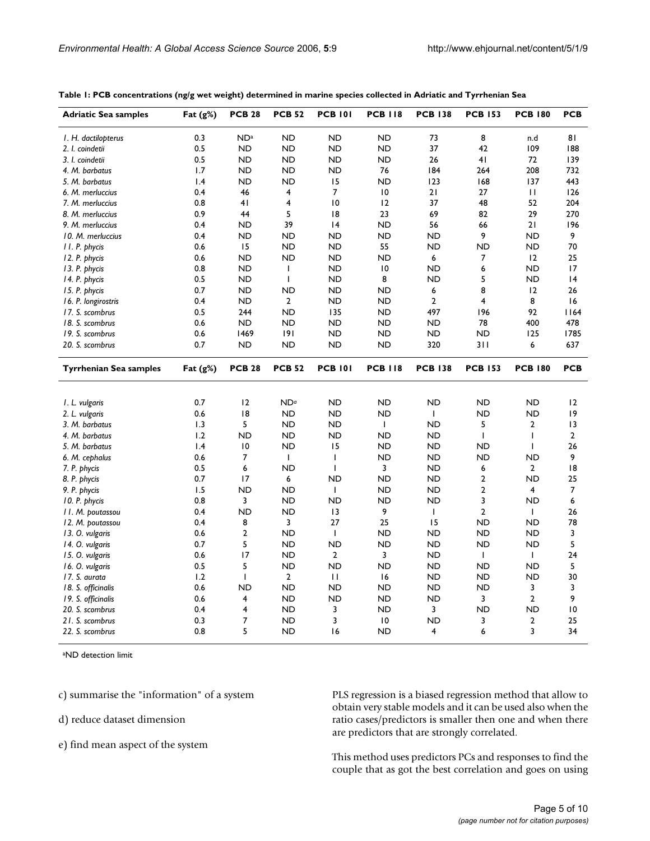| <b>Adriatic Sea samples</b>   | Fat $(g%)$  | <b>PCB 28</b>   | <b>PCB 52</b>   | <b>PCB 101</b> | <b>PCB 118</b> | <b>PCB 138</b> | <b>PCB 153</b> | <b>PCB 180</b> | <b>PCB</b>     |
|-------------------------------|-------------|-----------------|-----------------|----------------|----------------|----------------|----------------|----------------|----------------|
| I. H. dactilopterus           | 0.3         | ND <sup>a</sup> | <b>ND</b>       | <b>ND</b>      | <b>ND</b>      | 73             | 8              | n.d            | 81             |
| 2. I. coindetii               | 0.5         | <b>ND</b>       | <b>ND</b>       | <b>ND</b>      | <b>ND</b>      | 37             | 42             | 109            | 188            |
| 3. I. coindetii               | 0.5         | ND              | <b>ND</b>       | <b>ND</b>      | <b>ND</b>      | 26             | 41             | 72             | 139            |
| 4. M. barbatus                | 1.7         | ND              | <b>ND</b>       | <b>ND</b>      | 76             | 184            | 264            | 208            | 732            |
| 5. M. barbatus                | 1.4         | ND              | <b>ND</b>       | 15             | <b>ND</b>      | 123            | 168            | 137            | 443            |
| 6. M. merluccius              | 0.4         | 46              | 4               | $\overline{7}$ | 10             | 21             | 27             | $\mathbf{H}$   | 126            |
| 7. M. merluccius              | 0.8         | 4 <sub>1</sub>  | 4               | 10             | 12             | 37             | 48             | 52             | 204            |
| 8. M. merluccius              | 0.9         | 44              | 5               | 8              | 23             | 69             | 82             | 29             | 270            |
| 9. M. merluccius              | 0.4         | <b>ND</b>       | 39              | 4              | <b>ND</b>      | 56             | 66             | 21             | 196            |
| 10. M. merluccius             | 0.4         | <b>ND</b>       | <b>ND</b>       | <b>ND</b>      | <b>ND</b>      | <b>ND</b>      | 9              | <b>ND</b>      | 9              |
| 11. P. phycis                 | 0.6         | 15              | <b>ND</b>       | <b>ND</b>      | 55             | <b>ND</b>      | <b>ND</b>      | <b>ND</b>      | 70             |
| 12. P. phycis                 | 0.6         | ND              | <b>ND</b>       | <b>ND</b>      | <b>ND</b>      | 6              | 7              | 12             | 25             |
| 13. P. phycis                 | 0.8         | ND              | T               | <b>ND</b>      | 10             | <b>ND</b>      | 6              | <b>ND</b>      | 17             |
| 14. P. phycis                 | 0.5         | ND.             | T               | ND             | 8              | ND             | 5              | <b>ND</b>      | 4              |
| 15. P. phycis                 | 0.7         | ND              | <b>ND</b>       | <b>ND</b>      | <b>ND</b>      | 6              | 8              | 12             | 26             |
| 16. P. longirostris           | 0.4         | ND              | $\overline{2}$  | ND             | <b>ND</b>      | $\overline{2}$ | 4              | 8              | 16             |
| 17. S. scombrus               | 0.5         | 244             | <b>ND</b>       | 135            | <b>ND</b>      | 497            | 196            | 92             | 1164           |
| 18. S. scombrus               | 0.6         | <b>ND</b>       | <b>ND</b>       | <b>ND</b>      | <b>ND</b>      | <b>ND</b>      | 78             | 400            | 478            |
| 19. S. scombrus               | 0.6         | 1469            | 9               | <b>ND</b>      | <b>ND</b>      | <b>ND</b>      | <b>ND</b>      | 125            | 1785           |
| 20. S. scombrus               | 0.7         | ND              | ND              | <b>ND</b>      | <b>ND</b>      | 320            | 311            | 6              | 637            |
|                               |             |                 |                 |                |                |                |                |                |                |
| <b>Tyrrhenian Sea samples</b> | Fat $(g\%)$ | <b>PCB 28</b>   | <b>PCB 52</b>   | <b>PCB 101</b> | <b>PCB 118</b> | <b>PCB 138</b> | <b>PCB 153</b> | <b>PCB 180</b> | <b>PCB</b>     |
|                               |             |                 |                 |                |                |                |                |                |                |
| I. L. vulgaris                | 0.7         | 12              | ND <sup>a</sup> | <b>ND</b>      | <b>ND</b>      | <b>ND</b>      | <b>ND</b>      | <b>ND</b>      | 12             |
| 2. L. vulgaris                | 0.6         | 18              | <b>ND</b>       | ND             | <b>ND</b>      | $\mathbf{I}$   | <b>ND</b>      | <b>ND</b>      | 9              |
| 3. M. barbatus                | 1.3         | 5               | ND              | <b>ND</b>      | $\mathbf{I}$   | <b>ND</b>      | 5              | $\overline{2}$ | 13             |
| 4. M. barbatus                | 1.2         | <b>ND</b>       | ND              | <b>ND</b>      | <b>ND</b>      | <b>ND</b>      | $\mathbf{I}$   | $\mathsf{I}$   | $\overline{2}$ |
| 5. M. barbatus                | 1.4         | 10              | <b>ND</b>       | 15             | <b>ND</b>      | <b>ND</b>      | <b>ND</b>      | $\mathbf{I}$   | 26             |
| 6. M. cephalus                | 0.6         | 7               | T               | $\mathbf{I}$   | <b>ND</b>      | <b>ND</b>      | <b>ND</b>      | <b>ND</b>      | 9              |
| 7. P. phycis                  | 0.5         | 6               | <b>ND</b>       | $\mathsf{I}$   | 3              | <b>ND</b>      | 6              | $\mathbf{2}$   | 18             |
| 8. P. phycis                  | 0.7         | 17              | 6               | <b>ND</b>      | <b>ND</b>      | <b>ND</b>      | $\overline{2}$ | <b>ND</b>      | 25             |
| 9. P. phycis                  | 1.5         | <b>ND</b>       | <b>ND</b>       | $\mathsf{I}$   | <b>ND</b>      | <b>ND</b>      | $\overline{2}$ | 4              | $\overline{7}$ |
| 10. P. phycis                 | 0.8         | 3               | <b>ND</b>       | <b>ND</b>      | <b>ND</b>      | <b>ND</b>      | 3              | <b>ND</b>      | 6              |
| II. M. poutassou              | 0.4         | ND              | <b>ND</b>       | 3              | 9              | $\mathbf{I}$   | $\overline{2}$ | $\mathbf{I}$   | 26             |
| 12. M. poutassou              | 0.4         | 8               | 3               | 27             | 25             | 15             | <b>ND</b>      | <b>ND</b>      | 78             |
| 13. O. vulgaris               | 0.6         | $\overline{2}$  | <b>ND</b>       | $\mathbf{I}$   | <b>ND</b>      | <b>ND</b>      | <b>ND</b>      | <b>ND</b>      | 3              |
| 14. O. vulgaris               | 0.7         | 5               | <b>ND</b>       | <b>ND</b>      | <b>ND</b>      | <b>ND</b>      | <b>ND</b>      | <b>ND</b>      | 5              |
| 15. O. vulgaris               | 0.6         | 17              | <b>ND</b>       | $\overline{2}$ | 3              | <b>ND</b>      | $\mathbf{I}$   | $\mathbf{I}$   | 24             |
| 16. O. vulgaris               | 0.5         | 5               | <b>ND</b>       | <b>ND</b>      | <b>ND</b>      | <b>ND</b>      | <b>ND</b>      | <b>ND</b>      | 5              |
| 17. S. aurata                 | 1.2         | $\mathbf{I}$    | $\overline{2}$  | $\mathbf{H}$   | 16             | <b>ND</b>      | <b>ND</b>      | <b>ND</b>      | 30             |
| 18. S. officinalis            | 0.6         | <b>ND</b>       | <b>ND</b>       | <b>ND</b>      | <b>ND</b>      | <b>ND</b>      | <b>ND</b>      | 3              | 3              |
| 19. S. officinalis            | 0.6         | $\overline{4}$  | <b>ND</b>       | <b>ND</b>      | <b>ND</b>      | <b>ND</b>      | 3              | $\overline{2}$ | 9              |
| 20. S. scombrus               | 0.4         | $\overline{4}$  | <b>ND</b>       | 3              | <b>ND</b>      | 3              | <b>ND</b>      | <b>ND</b>      | 10             |
| 21. S. scombrus               | 0.3         | 7               | <b>ND</b>       | 3              | 10             | <b>ND</b>      | 3              | $\overline{2}$ | 25             |
| 22. S. scombrus               | 0.8         | 5               | <b>ND</b>       | 16             | <b>ND</b>      | 4              | 6              | 3              | 34             |
|                               |             |                 |                 |                |                |                |                |                |                |

**Table 1: PCB concentrations (ng/g wet weight) determined in marine species collected in Adriatic and Tyrrhenian Sea**

aND detection limit

c) summarise the "information" of a system

d) reduce dataset dimension

e) find mean aspect of the system

PLS regression is a biased regression method that allow to obtain very stable models and it can be used also when the ratio cases/predictors is smaller then one and when there are predictors that are strongly correlated.

This method uses predictors PCs and responses to find the couple that as got the best correlation and goes on using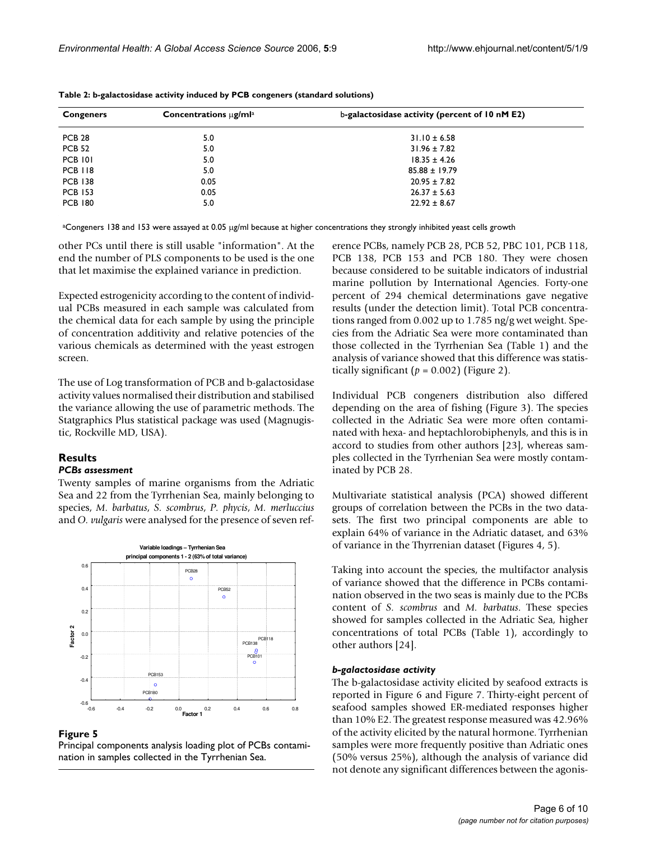| Concentrations $\mu$ g/ml <sup>a</sup><br><b>Congeners</b> |      | b-galactosidase activity (percent of 10 nM E2) |  |  |  |
|------------------------------------------------------------|------|------------------------------------------------|--|--|--|
| <b>PCB 28</b>                                              | 5.0  | $31.10 \pm 6.58$                               |  |  |  |
| <b>PCB 52</b>                                              | 5.0  | $31.96 \pm 7.82$                               |  |  |  |
| <b>PCB 101</b>                                             | 5.0  | $18.35 \pm 4.26$                               |  |  |  |
| <b>PCB 118</b>                                             | 5.0  | $85.88 \pm 19.79$                              |  |  |  |
| <b>PCB 138</b>                                             | 0.05 | $20.95 \pm 7.82$                               |  |  |  |
| <b>PCB 153</b>                                             | 0.05 | $26.37 \pm 5.63$                               |  |  |  |
| <b>PCB 180</b>                                             | 5.0  | $22.92 \pm 8.67$                               |  |  |  |

aCongeners 138 and 153 were assayed at 0.05 µg/ml because at higher concentrations they strongly inhibited yeast cells growth

other PCs until there is still usable "information". At the end the number of PLS components to be used is the one that let maximise the explained variance in prediction.

Expected estrogenicity according to the content of individual PCBs measured in each sample was calculated from the chemical data for each sample by using the principle of concentration additivity and relative potencies of the various chemicals as determined with the yeast estrogen screen.

The use of Log transformation of PCB and b-galactosidase activity values normalised their distribution and stabilised the variance allowing the use of parametric methods. The Statgraphics Plus statistical package was used (Magnugistic, Rockville MD, USA).

# **Results**

## *PCBs assessment*

Twenty samples of marine organisms from the Adriatic Sea and 22 from the Tyrrhenian Sea, mainly belonging to species, *M. barbatus*, *S. scombrus*, *P. phycis*, *M. merluccius* and *O. vulgaris* were analysed for the presence of seven ref-



#### **Figure 5**

Principal components analysis loading plot of PCBs contamination in samples collected in the Tyrrhenian Sea.

erence PCBs, namely PCB 28, PCB 52, PBC 101, PCB 118, PCB 138, PCB 153 and PCB 180. They were chosen because considered to be suitable indicators of industrial marine pollution by International Agencies. Forty-one percent of 294 chemical determinations gave negative results (under the detection limit). Total PCB concentrations ranged from 0.002 up to 1.785 ng/g wet weight. Species from the Adriatic Sea were more contaminated than those collected in the Tyrrhenian Sea (Table 1) and the analysis of variance showed that this difference was statistically significant  $(p = 0.002)$  (Figure 2).

Individual PCB congeners distribution also differed depending on the area of fishing (Figure 3). The species collected in the Adriatic Sea were more often contaminated with hexa- and heptachlorobiphenyls, and this is in accord to studies from other authors [23], whereas samples collected in the Tyrrhenian Sea were mostly contaminated by PCB 28.

Multivariate statistical analysis (PCA) showed different groups of correlation between the PCBs in the two datasets. The first two principal components are able to explain 64% of variance in the Adriatic dataset, and 63% of variance in the Thyrrenian dataset (Figures 4, 5).

Taking into account the species, the multifactor analysis of variance showed that the difference in PCBs contamination observed in the two seas is mainly due to the PCBs content of *S. scombrus* and *M. barbatus*. These species showed for samples collected in the Adriatic Sea, higher concentrations of total PCBs (Table 1), accordingly to other authors [24].

#### *b-galactosidase activity*

The b-galactosidase activity elicited by seafood extracts is reported in Figure 6 and Figure 7. Thirty-eight percent of seafood samples showed ER-mediated responses higher than 10% E2. The greatest response measured was 42.96% of the activity elicited by the natural hormone. Tyrrhenian samples were more frequently positive than Adriatic ones (50% versus 25%), although the analysis of variance did not denote any significant differences between the agonis-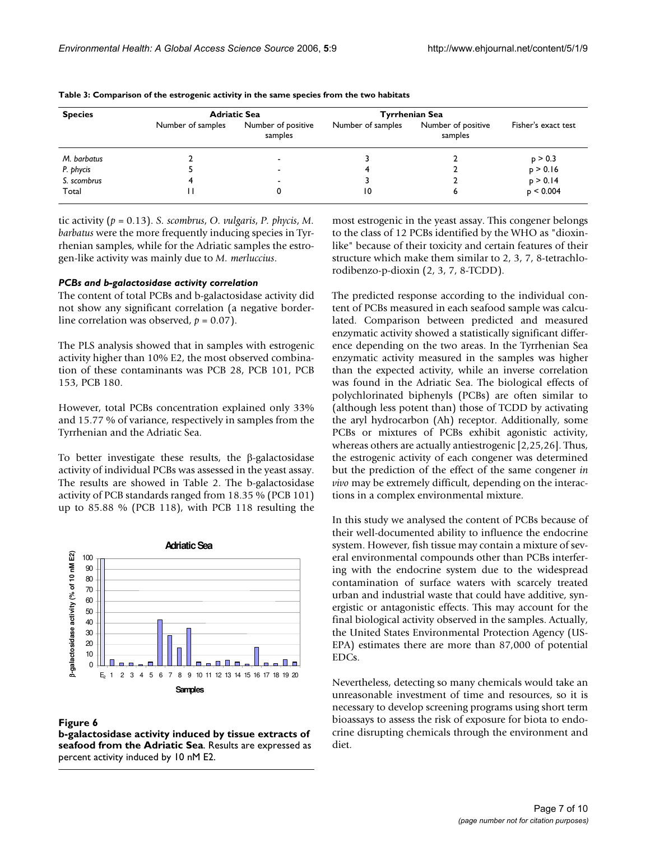| <b>Species</b> |                   | <b>Adriatic Sea</b>           | <b>Tyrrhenian Sea</b> |                               |                     |
|----------------|-------------------|-------------------------------|-----------------------|-------------------------------|---------------------|
|                | Number of samples | Number of positive<br>samples | Number of samples     | Number of positive<br>samples | Fisher's exact test |
| M. barbatus    |                   |                               |                       |                               | p > 0.3             |
| P. phycis      |                   |                               |                       |                               | p > 0.16            |
| S. scombrus    | 4                 |                               |                       |                               | p > 0.14            |
| Total          |                   |                               | 10                    | ь                             | p < 0.004           |

**Table 3: Comparison of the estrogenic activity in the same species from the two habitats**

tic activity (*p* = 0.13). *S. scombrus*, *O. vulgaris*, *P. phycis*, *M. barbatus* were the more frequently inducing species in Tyrrhenian samples, while for the Adriatic samples the estrogen-like activity was mainly due to *M. merluccius*.

#### *PCBs and b-galactosidase activity correlation*

The content of total PCBs and b-galactosidase activity did not show any significant correlation (a negative borderline correlation was observed, *p* = 0.07).

The PLS analysis showed that in samples with estrogenic activity higher than 10% E2, the most observed combination of these contaminants was PCB 28, PCB 101, PCB 153, PCB 180.

However, total PCBs concentration explained only 33% and 15.77 % of variance, respectively in samples from the Tyrrhenian and the Adriatic Sea.

To better investigate these results, the β-galactosidase activity of individual PCBs was assessed in the yeast assay. The results are showed in Table 2. The b-galactosidase activity of PCB standards ranged from 18.35 % (PCB 101) up to 85.88 % (PCB 118), with PCB 118 resulting the



#### Figure 6

**b-galactosidase activity induced by tissue extracts of seafood from the Adriatic Sea**. Results are expressed as percent activity induced by 10 nM E2.

most estrogenic in the yeast assay. This congener belongs to the class of 12 PCBs identified by the WHO as "dioxinlike" because of their toxicity and certain features of their structure which make them similar to 2, 3, 7, 8-tetrachlorodibenzo-p-dioxin (2, 3, 7, 8-TCDD).

The predicted response according to the individual content of PCBs measured in each seafood sample was calculated. Comparison between predicted and measured enzymatic activity showed a statistically significant difference depending on the two areas. In the Tyrrhenian Sea enzymatic activity measured in the samples was higher than the expected activity, while an inverse correlation was found in the Adriatic Sea. The biological effects of polychlorinated biphenyls (PCBs) are often similar to (although less potent than) those of TCDD by activating the aryl hydrocarbon (Ah) receptor. Additionally, some PCBs or mixtures of PCBs exhibit agonistic activity, whereas others are actually antiestrogenic [2,25,26]. Thus, the estrogenic activity of each congener was determined but the prediction of the effect of the same congener *in vivo* may be extremely difficult, depending on the interactions in a complex environmental mixture.

In this study we analysed the content of PCBs because of their well-documented ability to influence the endocrine system. However, fish tissue may contain a mixture of several environmental compounds other than PCBs interfering with the endocrine system due to the widespread contamination of surface waters with scarcely treated urban and industrial waste that could have additive, synergistic or antagonistic effects. This may account for the final biological activity observed in the samples. Actually, the United States Environmental Protection Agency (US-EPA) estimates there are more than 87,000 of potential EDCs.

Nevertheless, detecting so many chemicals would take an unreasonable investment of time and resources, so it is necessary to develop screening programs using short term bioassays to assess the risk of exposure for biota to endocrine disrupting chemicals through the environment and diet.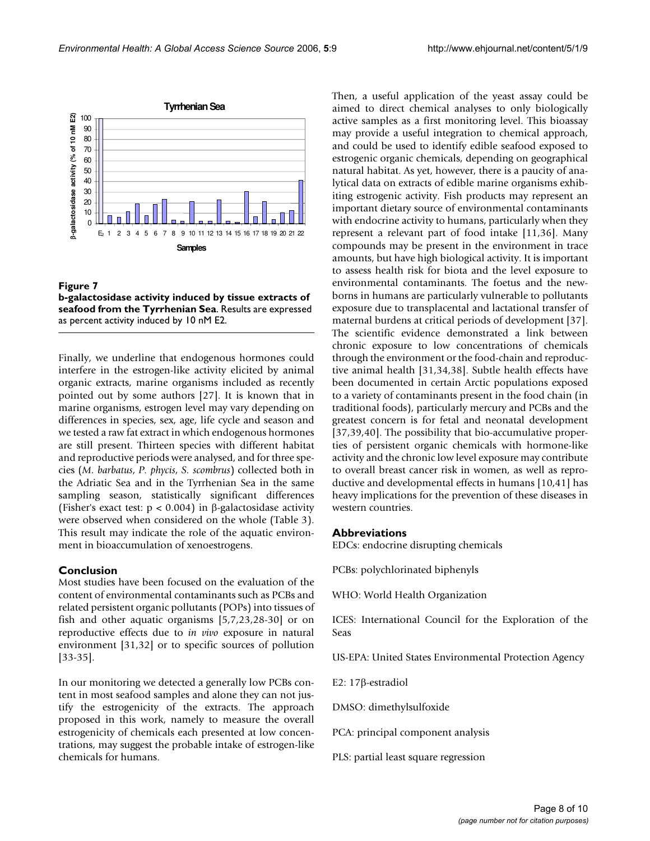

Figure 7 **b-galactosidase activity induced by tissue extracts of seafood from the Tyrrhenian Sea**. Results are expressed as percent activity induced by 10 nM E2.

Finally, we underline that endogenous hormones could interfere in the estrogen-like activity elicited by animal organic extracts, marine organisms included as recently pointed out by some authors [27]. It is known that in marine organisms, estrogen level may vary depending on differences in species, sex, age, life cycle and season and we tested a raw fat extract in which endogenous hormones are still present. Thirteen species with different habitat and reproductive periods were analysed, and for three species (*M. barbatus*, *P. phycis*, *S. scombrus*) collected both in the Adriatic Sea and in the Tyrrhenian Sea in the same sampling season, statistically significant differences (Fisher's exact test: p < 0.004) in β-galactosidase activity were observed when considered on the whole (Table 3). This result may indicate the role of the aquatic environment in bioaccumulation of xenoestrogens.

#### **Conclusion**

Most studies have been focused on the evaluation of the content of environmental contaminants such as PCBs and related persistent organic pollutants (POPs) into tissues of fish and other aquatic organisms [5,7,23,28-30] or on reproductive effects due to *in vivo* exposure in natural environment [31,32] or to specific sources of pollution [33-35].

In our monitoring we detected a generally low PCBs content in most seafood samples and alone they can not justify the estrogenicity of the extracts. The approach proposed in this work, namely to measure the overall estrogenicity of chemicals each presented at low concentrations, may suggest the probable intake of estrogen-like chemicals for humans.

Then, a useful application of the yeast assay could be aimed to direct chemical analyses to only biologically active samples as a first monitoring level. This bioassay may provide a useful integration to chemical approach, and could be used to identify edible seafood exposed to estrogenic organic chemicals, depending on geographical natural habitat. As yet, however, there is a paucity of analytical data on extracts of edible marine organisms exhibiting estrogenic activity. Fish products may represent an important dietary source of environmental contaminants with endocrine activity to humans, particularly when they represent a relevant part of food intake [11,36]. Many compounds may be present in the environment in trace amounts, but have high biological activity. It is important to assess health risk for biota and the level exposure to environmental contaminants. The foetus and the newborns in humans are particularly vulnerable to pollutants exposure due to transplacental and lactational transfer of maternal burdens at critical periods of development [37]. The scientific evidence demonstrated a link between chronic exposure to low concentrations of chemicals through the environment or the food-chain and reproductive animal health [31,34,38]. Subtle health effects have been documented in certain Arctic populations exposed to a variety of contaminants present in the food chain (in traditional foods), particularly mercury and PCBs and the greatest concern is for fetal and neonatal development [37,39,40]. The possibility that bio-accumulative properties of persistent organic chemicals with hormone-like activity and the chronic low level exposure may contribute to overall breast cancer risk in women, as well as reproductive and developmental effects in humans [10,41] has heavy implications for the prevention of these diseases in western countries.

#### **Abbreviations**

EDCs: endocrine disrupting chemicals

PCBs: polychlorinated biphenyls

WHO: World Health Organization

ICES: International Council for the Exploration of the Seas

US-EPA: United States Environmental Protection Agency

E2: 17β-estradiol

DMSO: dimethylsulfoxide

PCA: principal component analysis

PLS: partial least square regression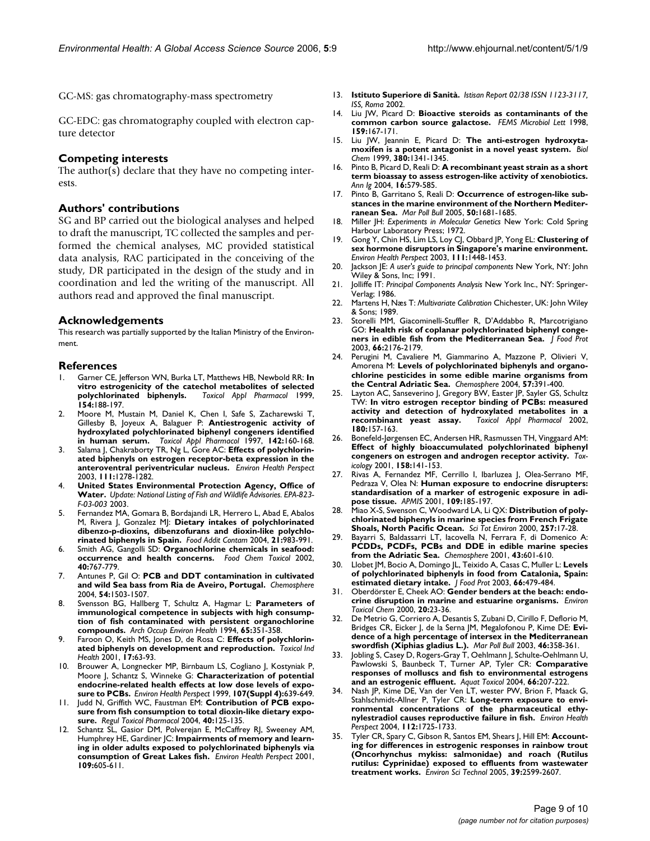GC-MS: gas chromatography-mass spectrometry

GC-EDC: gas chromatography coupled with electron capture detector

#### **Competing interests**

The author(s) declare that they have no competing interests.

#### **Authors' contributions**

SG and BP carried out the biological analyses and helped to draft the manuscript, TC collected the samples and performed the chemical analyses, MC provided statistical data analysis, RAC participated in the conceiving of the study, DR participated in the design of the study and in coordination and led the writing of the manuscript. All authors read and approved the final manuscript.

#### **Acknowledgements**

This research was partially supported by the Italian Ministry of the Environment.

#### **References**

- 1. Garner CE, Jefferson WN, Burka LT, Matthews HB, Newbold RR: **[In](http://www.ncbi.nlm.nih.gov/entrez/query.fcgi?cmd=Retrieve&db=PubMed&dopt=Abstract&list_uids=9925803) [vitro estrogenicity of the catechol metabolites of selected](http://www.ncbi.nlm.nih.gov/entrez/query.fcgi?cmd=Retrieve&db=PubMed&dopt=Abstract&list_uids=9925803)** [polychlorinated biphenyls.](http://www.ncbi.nlm.nih.gov/entrez/query.fcgi?cmd=Retrieve&db=PubMed&dopt=Abstract&list_uids=9925803) **154:**188-197.
- 2. Moore M, Mustain M, Daniel K, Chen I, Safe S, Zacharewski T, Gillesby B, Joyeux A, Balaguer P: **[Antiestrogenic activity of](http://www.ncbi.nlm.nih.gov/entrez/query.fcgi?cmd=Retrieve&db=PubMed&dopt=Abstract&list_uids=9007045) [hydroxylated polychlorinated biphenyl congeners identified](http://www.ncbi.nlm.nih.gov/entrez/query.fcgi?cmd=Retrieve&db=PubMed&dopt=Abstract&list_uids=9007045) [in human serum.](http://www.ncbi.nlm.nih.gov/entrez/query.fcgi?cmd=Retrieve&db=PubMed&dopt=Abstract&list_uids=9007045)** *Toxicol Appl Pharmacol* 1997, **142:**160-168.
- 3. Salama J, Chakraborty TR, Ng L, Gore AC: **[Effects of polychlorin](http://www.ncbi.nlm.nih.gov/entrez/query.fcgi?cmd=Retrieve&db=PubMed&dopt=Abstract&list_uids=12896846)[ated biphenyls on estrogen receptor-beta expression in the](http://www.ncbi.nlm.nih.gov/entrez/query.fcgi?cmd=Retrieve&db=PubMed&dopt=Abstract&list_uids=12896846) [anteroventral periventricular nucleus.](http://www.ncbi.nlm.nih.gov/entrez/query.fcgi?cmd=Retrieve&db=PubMed&dopt=Abstract&list_uids=12896846)** *Environ Health Perspect* 2003, **111:**1278-1282.
- 4. **United States Environmental Protection Agency, Office of Water.** *Update: National Listing of Fish and Wildlife Advisories. EPA-823- F-03-003* 2003.
- 5. Fernandez MA, Gomara B, Bordajandi LR, Herrero L, Abad E, Abalos M, Rivera J, Gonzalez MJ: **[Dietary intakes of polychlorinated](http://www.ncbi.nlm.nih.gov/entrez/query.fcgi?cmd=Retrieve&db=PubMed&dopt=Abstract&list_uids=15712523) [dibenzo-p-dioxins, dibenzofurans and dioxin-like polychlo](http://www.ncbi.nlm.nih.gov/entrez/query.fcgi?cmd=Retrieve&db=PubMed&dopt=Abstract&list_uids=15712523)[rinated biphenyls in Spain.](http://www.ncbi.nlm.nih.gov/entrez/query.fcgi?cmd=Retrieve&db=PubMed&dopt=Abstract&list_uids=15712523)** *Food Addit Contam* 2004, **21:**983-991.
- 6. Smith AG, Gangolli SD: **[Organochlorine chemicals in seafood:](http://www.ncbi.nlm.nih.gov/entrez/query.fcgi?cmd=Retrieve&db=PubMed&dopt=Abstract&list_uids=11983271) [occurrence and health concerns.](http://www.ncbi.nlm.nih.gov/entrez/query.fcgi?cmd=Retrieve&db=PubMed&dopt=Abstract&list_uids=11983271)** *Food Chem Toxicol* 2002, **40:**767-779.
- 7. Antunes P, Gil O: **[PCB and DDT contamination in cultivated](http://www.ncbi.nlm.nih.gov/entrez/query.fcgi?cmd=Retrieve&db=PubMed&dopt=Abstract&list_uids=14659952) [and wild Sea bass from Ria de Aveiro, Portugal.](http://www.ncbi.nlm.nih.gov/entrez/query.fcgi?cmd=Retrieve&db=PubMed&dopt=Abstract&list_uids=14659952)** *Chemosphere* 2004, **54:**1503-1507.
- 8. Svensson BG, Hallberg T, Schultz A, Hagmar L: **Parameters of immunological competence in subjects with high consumption of fish contaminated with persistent organochlorine compounds.** *Arch Occup Environ Health* 1994, **65:**351-358.
- Faroon O, Keith MS, Jones D, de Rosa C: **[Effects of polychlorin](http://www.ncbi.nlm.nih.gov/entrez/query.fcgi?cmd=Retrieve&db=PubMed&dopt=Abstract&list_uids=12117298)[ated biphenyls on development and reproduction.](http://www.ncbi.nlm.nih.gov/entrez/query.fcgi?cmd=Retrieve&db=PubMed&dopt=Abstract&list_uids=12117298)** *Toxicol Ind Health* 2001, **17:**63-93.
- 10. Brouwer A, Longnecker MP, Birnbaum LS, Cogliano J, Kostyniak P, Moore J, Schantz S, Winneke G: **[Characterization of potential](http://www.ncbi.nlm.nih.gov/entrez/query.fcgi?cmd=Retrieve&db=PubMed&dopt=Abstract&list_uids=10421775) [endocrine-related health effects at low dose levels of expo](http://www.ncbi.nlm.nih.gov/entrez/query.fcgi?cmd=Retrieve&db=PubMed&dopt=Abstract&list_uids=10421775)[sure to PCBs.](http://www.ncbi.nlm.nih.gov/entrez/query.fcgi?cmd=Retrieve&db=PubMed&dopt=Abstract&list_uids=10421775)** *Environ Health Perspect* 1999, **107(Suppl 4):**639-649.
- 11. Judd N, Griffith WC, Faustman EM: **[Contribution of PCB expo](http://www.ncbi.nlm.nih.gov/entrez/query.fcgi?cmd=Retrieve&db=PubMed&dopt=Abstract&list_uids=15450716)[sure from fish consumption to total dioxin-like dietary expo](http://www.ncbi.nlm.nih.gov/entrez/query.fcgi?cmd=Retrieve&db=PubMed&dopt=Abstract&list_uids=15450716)[sure.](http://www.ncbi.nlm.nih.gov/entrez/query.fcgi?cmd=Retrieve&db=PubMed&dopt=Abstract&list_uids=15450716)** *Regul Toxicol Pharmacol* 2004, **40:**125-135.
- 12. Schantz SL, Gasior DM, Polverejan E, McCaffrey RJ, Sweeney AM, Humphrey HE, Gardiner JC: **[Impairments of memory and learn](http://www.ncbi.nlm.nih.gov/entrez/query.fcgi?cmd=Retrieve&db=PubMed&dopt=Abstract&list_uids=11445515)[ing in older adults exposed to polychlorinated biphenyls via](http://www.ncbi.nlm.nih.gov/entrez/query.fcgi?cmd=Retrieve&db=PubMed&dopt=Abstract&list_uids=11445515) [consumption of Great Lakes fish.](http://www.ncbi.nlm.nih.gov/entrez/query.fcgi?cmd=Retrieve&db=PubMed&dopt=Abstract&list_uids=11445515)** *Environ Health Perspect* 2001, **109:**605-611.
- 13. **Istituto Superiore di Sanità.** *Istisan Report 02/38 ISSN 1123-3117, ISS, Roma* 2002.
- 14. Liu JW, Picard D: **[Bioactive steroids as contaminants of the](http://www.ncbi.nlm.nih.gov/entrez/query.fcgi?cmd=Retrieve&db=PubMed&dopt=Abstract&list_uids=9503609) [common carbon source galactose.](http://www.ncbi.nlm.nih.gov/entrez/query.fcgi?cmd=Retrieve&db=PubMed&dopt=Abstract&list_uids=9503609)** *FEMS Microbiol Lett* 1998, **159:**167-171.
- 15. Liu JW, Jeannin E, Picard D: **[The anti-estrogen hydroxyta](http://www.ncbi.nlm.nih.gov/entrez/query.fcgi?cmd=Retrieve&db=PubMed&dopt=Abstract&list_uids=10614829)[moxifen is a potent antagonist in a novel yeast system.](http://www.ncbi.nlm.nih.gov/entrez/query.fcgi?cmd=Retrieve&db=PubMed&dopt=Abstract&list_uids=10614829)** *Biol Chem* 1999, **380:**1341-1345.
- Pinto B, Picard D, Reali D: [A recombinant yeast strain as a short](http://www.ncbi.nlm.nih.gov/entrez/query.fcgi?cmd=Retrieve&db=PubMed&dopt=Abstract&list_uids=15366516) **[term bioassay to assess estrogen-like activity of xenobiotics.](http://www.ncbi.nlm.nih.gov/entrez/query.fcgi?cmd=Retrieve&db=PubMed&dopt=Abstract&list_uids=15366516)** *Ann Ig* 2004, **16:**579-585.
- 17. Pinto B, Garritano S, Reali D: **Occurrence of estrogen-like substances in the marine environment of the Northern Mediterranean Sea.** *Mar Poll Bull* 2005, **50:**1681-1685.
- 18. Miller JH: *Experiments in Molecular Genetics* New York: Cold Spring Harbour Laboratory Press; 1972.
- 19. Gong Y, Chin HS, Lim LS, Loy CJ, Obbard JP, Yong EL: **[Clustering of](http://www.ncbi.nlm.nih.gov/entrez/query.fcgi?cmd=Retrieve&db=PubMed&dopt=Abstract&list_uids=12948882) [sex hormone disruptors in Singapore's marine environment.](http://www.ncbi.nlm.nih.gov/entrez/query.fcgi?cmd=Retrieve&db=PubMed&dopt=Abstract&list_uids=12948882)** *Environ Health Perspect* 2003, **111:**1448-1453.
- 20. Jackson JE: *A user's guide to principal components* New York, NY: John Wiley & Sons, Inc; 1991.
- 21. Jolliffe IT: *Principal Components Analysis* New York Inc., NY: Springer-Verlag; 1986.
- 22. Martens H, Næs T: *Multivariate Calibration* Chichester, UK: John Wiley & Sons; 1989.
- 23. Storelli MM, Giacominelli-Stuffler R, D'Addabbo R, Marcotrigiano GO: **[Health risk of coplanar polychlorinated biphenyl conge](http://www.ncbi.nlm.nih.gov/entrez/query.fcgi?cmd=Retrieve&db=PubMed&dopt=Abstract&list_uids=14627304)[ners in edible fish from the Mediterranean Sea.](http://www.ncbi.nlm.nih.gov/entrez/query.fcgi?cmd=Retrieve&db=PubMed&dopt=Abstract&list_uids=14627304)** *J Food Prot* 2003, **66:**2176-2179.
- 24. Perugini M, Cavaliere M, Giammarino A, Mazzone P, Olivieri V, Amorena M: **[Levels of polychlorinated biphenyls and organo](http://www.ncbi.nlm.nih.gov/entrez/query.fcgi?cmd=Retrieve&db=PubMed&dopt=Abstract&list_uids=15331266)[chlorine pesticides in some edible marine organisms from](http://www.ncbi.nlm.nih.gov/entrez/query.fcgi?cmd=Retrieve&db=PubMed&dopt=Abstract&list_uids=15331266) [the Central Adriatic Sea.](http://www.ncbi.nlm.nih.gov/entrez/query.fcgi?cmd=Retrieve&db=PubMed&dopt=Abstract&list_uids=15331266)** *Chemosphere* 2004, **57:**391-400.
- 25. Layton AC, Sanseverino J, Gregory BW, Easter JP, Sayler GS, Schultz TW: **[In vitro estrogen receptor binding of PCBs: measured](http://www.ncbi.nlm.nih.gov/entrez/query.fcgi?cmd=Retrieve&db=PubMed&dopt=Abstract&list_uids=12009855) [activity and detection of hydroxylated metabolites in a](http://www.ncbi.nlm.nih.gov/entrez/query.fcgi?cmd=Retrieve&db=PubMed&dopt=Abstract&list_uids=12009855)** [recombinant yeast assay.](http://www.ncbi.nlm.nih.gov/entrez/query.fcgi?cmd=Retrieve&db=PubMed&dopt=Abstract&list_uids=12009855) **180:**157-163.
- 26. Bonefeld-Jørgensen EC, Andersen HR, Rasmussen TH, Vinggaard AM: **[Effect of highly bioaccumulated polychlorinated biphenyl](http://www.ncbi.nlm.nih.gov/entrez/query.fcgi?cmd=Retrieve&db=PubMed&dopt=Abstract&list_uids=11275356) [congeners on estrogen and androgen receptor activity.](http://www.ncbi.nlm.nih.gov/entrez/query.fcgi?cmd=Retrieve&db=PubMed&dopt=Abstract&list_uids=11275356)** *Toxicology* 2001, **158:**141-153.
- 27. Rivas A, Fernandez MF, Cerrillo I, Ibarluzea J, Olea-Serrano MF, Pedraza V, Olea N: **[Human exposure to endocrine disrupters:](http://www.ncbi.nlm.nih.gov/entrez/query.fcgi?cmd=Retrieve&db=PubMed&dopt=Abstract&list_uids=11430496) [standardisation of a marker of estrogenic exposure in adi](http://www.ncbi.nlm.nih.gov/entrez/query.fcgi?cmd=Retrieve&db=PubMed&dopt=Abstract&list_uids=11430496)[pose tissue.](http://www.ncbi.nlm.nih.gov/entrez/query.fcgi?cmd=Retrieve&db=PubMed&dopt=Abstract&list_uids=11430496)** *APMIS* 2001, **109:**185-197.
- 28. Miao X-S, Swenson C, Woodward LA, Li QX: **Distribution of polychlorinated biphenyls in marine species from French Frigate Shoals, North Pacific Ocean.** *Sci Tot Environ* 2000, **257:**17-28.
- Bayarri S, Baldassarri LT, Iacovella N, Ferrara F, di Domenico A: **[PCDDs, PCDFs, PCBs and DDE in edible marine species](http://www.ncbi.nlm.nih.gov/entrez/query.fcgi?cmd=Retrieve&db=PubMed&dopt=Abstract&list_uids=11372844) [from the Adriatic Sea.](http://www.ncbi.nlm.nih.gov/entrez/query.fcgi?cmd=Retrieve&db=PubMed&dopt=Abstract&list_uids=11372844)** *Chemosphere* 2001, **43:**601-610.
- 30. Llobet JM, Bocio A, Domingo JL, Teixido A, Casas C, Muller L: **[Levels](http://www.ncbi.nlm.nih.gov/entrez/query.fcgi?cmd=Retrieve&db=PubMed&dopt=Abstract&list_uids=12636304) [of polychlorinated biphenyls in food from Catalonia, Spain:](http://www.ncbi.nlm.nih.gov/entrez/query.fcgi?cmd=Retrieve&db=PubMed&dopt=Abstract&list_uids=12636304) [estimated dietary intake.](http://www.ncbi.nlm.nih.gov/entrez/query.fcgi?cmd=Retrieve&db=PubMed&dopt=Abstract&list_uids=12636304)** *J Food Prot* 2003, **66:**479-484.
- 31. Oberdörster E, Cheek AO: **Gender benders at the beach: endocrine disruption in marine and estuarine organisms.** *Environ Toxicol Chem* 2000, **20:**23-36.
- 32. De Metrio G, Corriero A, Desantis S, Zubani D, Cirillo F, Deflorio M, Bridges CR, Eicker J, de la Serna JM, Megalofonou P, Kime DE: **Evidence of a high percentage of intersex in the Mediterranean swordfish (Xiphias gladius L.).** *Mar Poll Bull* 2003, **46:**358-361.
- 33. Jobling S, Casey D, Rogers-Gray T, Oehlmann J, Schulte-Oehlmann U, Pawlowski S, Baunbeck T, Turner AP, Tyler CR: **[Comparative](http://www.ncbi.nlm.nih.gov/entrez/query.fcgi?cmd=Retrieve&db=PubMed&dopt=Abstract&list_uids=15046010) [responses of molluscs and fish to environmental estrogens](http://www.ncbi.nlm.nih.gov/entrez/query.fcgi?cmd=Retrieve&db=PubMed&dopt=Abstract&list_uids=15046010) [and an estrogenic effluent.](http://www.ncbi.nlm.nih.gov/entrez/query.fcgi?cmd=Retrieve&db=PubMed&dopt=Abstract&list_uids=15046010)** *Aquat Toxicol* 2004, **66:**207-222.
- 34. Nash JP, Kime DE, Van der Ven LT, wester PW, Brion F, Maack G, Stahlschmidt-Allner P, Tyler CR: **[Long-term exposure to envi](http://www.ncbi.nlm.nih.gov/entrez/query.fcgi?cmd=Retrieve&db=PubMed&dopt=Abstract&list_uids=15579420)[ronmental concentrations of the pharmaceutical ethy](http://www.ncbi.nlm.nih.gov/entrez/query.fcgi?cmd=Retrieve&db=PubMed&dopt=Abstract&list_uids=15579420)[nylestradiol causes reproductive failure in fish.](http://www.ncbi.nlm.nih.gov/entrez/query.fcgi?cmd=Retrieve&db=PubMed&dopt=Abstract&list_uids=15579420)** *Environ Health Perspect* 2004, **112:**1725-1733.
- 35. Tyler CR, Spary C, Gibson R, Santos EM, Shears J, Hill EM: **[Account](http://www.ncbi.nlm.nih.gov/entrez/query.fcgi?cmd=Retrieve&db=PubMed&dopt=Abstract&list_uids=15884355)ing for differences in estrogenic responses in rainbow trout [\(Oncorhynchus mykiss: salmonidae\) and roach \(Rutilus](http://www.ncbi.nlm.nih.gov/entrez/query.fcgi?cmd=Retrieve&db=PubMed&dopt=Abstract&list_uids=15884355) rutilus: Cyprinidae) exposed to effluents from wastewater [treatment works.](http://www.ncbi.nlm.nih.gov/entrez/query.fcgi?cmd=Retrieve&db=PubMed&dopt=Abstract&list_uids=15884355)** *Environ Sci Technol* 2005, **39:**2599-2607.